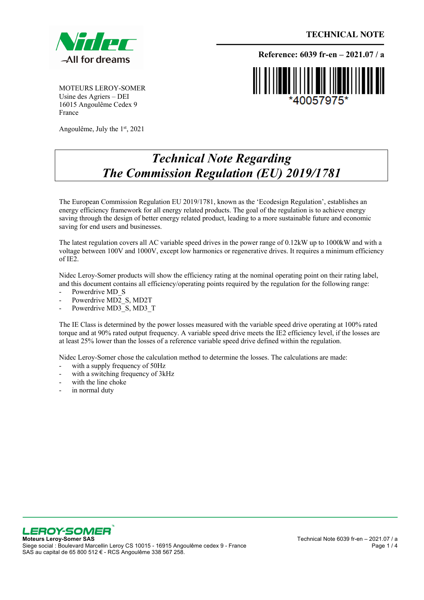

 **TECHNICAL NOTE**

MOTEURS LEROY-SOMER Usine des Agriers – DEI 16015 Angoulême Cedex 9 France

Angoulême, July the 1st, 2021

**Reference: 6039 fr-en – 2021.07 / a**

## *Technical Note Regarding*

*The Commission Regulation (EU) 2019/1781*

The European Commission Regulation EU 2019/1781, known as the 'Ecodesign Regulation', establishes an energy efficiency framework for all energy related products. The goal of the regulation is to achieve energy saving through the design of better energy related product, leading to a more sustainable future and economic saving for end users and businesses.

The latest regulation covers all AC variable speed drives in the power range of 0.12kW up to 1000kW and with a voltage between 100V and 1000V, except low harmonics or regenerative drives. It requires a minimum efficiency of IE2.

Nidec Leroy-Somer products will show the efficiency rating at the nominal operating point on their rating label, and this document contains all efficiency/operating points required by the regulation for the following range:

- Powerdrive MD\_S
- Powerdrive  $MD<sub>2</sub>$  S, MD2T
- Powerdrive MD3\_S, MD3\_T

The IE Class is determined by the power losses measured with the variable speed drive operating at 100% rated torque and at 90% rated output frequency. A variable speed drive meets the IE2 efficiency level, if the losses are at least 25% lower than the losses of a reference variable speed drive defined within the regulation.

Nidec Leroy-Somer chose the calculation method to determine the losses. The calculations are made:

- with a supply frequency of 50Hz
- with a switching frequency of  $3kHz$
- with the line choke
- in normal duty



Siege social : Boulevard Marcellin Leroy CS 10015 - 16915 Angoulême cedex 9 - France SAS au capital de 65 800 512 € - RCS Angoulême 338 567 258.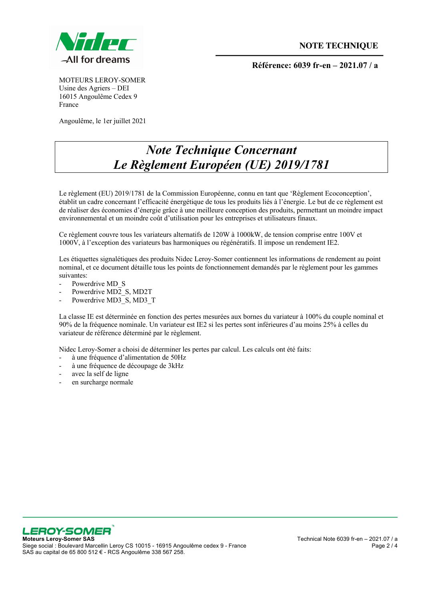

**Référence: 6039 fr-en – 2021.07 / a**

MOTEURS LEROY-SOMER Usine des Agriers – DEI 16015 Angoulême Cedex 9 France

Angoulême, le 1er juillet 2021

## *Note Technique Concernant Le Règlement Européen (UE) 2019/1781*

Le règlement (EU) 2019/1781 de la Commission Européenne, connu en tant que 'Règlement Ecoconception', établit un cadre concernant l'efficacité énergétique de tous les produits liés à l'énergie. Le but de ce règlement est de réaliser des économies d'énergie grâce à une meilleure conception des produits, permettant un moindre impact environnemental et un moindre coût d'utilisation pour les entreprises et utilisateurs finaux.

Ce règlement couvre tous les variateurs alternatifs de 120W à 1000kW, de tension comprise entre 100V et 1000V, à l'exception des variateurs bas harmoniques ou régénératifs. Il impose un rendement IE2.

Les étiquettes signalétiques des produits Nidec Leroy-Somer contiennent les informations de rendement au point nominal, et ce document détaille tous les points de fonctionnement demandés par le règlement pour les gammes suivantes:

- Powerdrive MD\_S
- Powerdrive MD2\_S, MD2T
- Powerdrive MD3\_S, MD3\_T

La classe IE est déterminée en fonction des pertes mesurées aux bornes du variateur à 100% du couple nominal et 90% de la fréquence nominale. Un variateur est IE2 si les pertes sont inférieures d'au moins 25% à celles du variateur de référence déterminé par le règlement.

Nidec Leroy-Somer a choisi de déterminer les pertes par calcul. Les calculs ont été faits:

- à une fréquence d'alimentation de 50Hz
- à une fréquence de découpage de 3kHz
- avec la self de ligne
- en surcharge normale



Siege social : Boulevard Marcellin Leroy CS 10015 - 16915 Angoulême cedex 9 - France SAS au capital de 65 800 512 € - RCS Angoulême 338 567 258.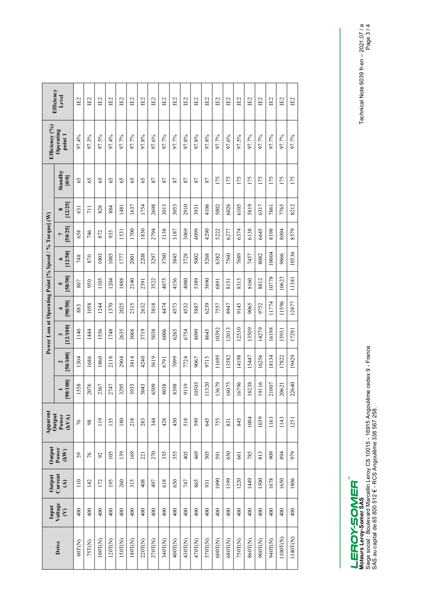| Efficiency<br>Level                                    |                         | IE2    | IE2    | IE2           | IE2     | IE2     | IE2     | IE2     | E2      | IE2     | IE2     | IE2     | IΕ2     | IE2     | IE2     | IE2     | IE2     | IE2     | IE2     | IE2     | IE2      | IE2      |
|--------------------------------------------------------|-------------------------|--------|--------|---------------|---------|---------|---------|---------|---------|---------|---------|---------|---------|---------|---------|---------|---------|---------|---------|---------|----------|----------|
| Efficiency (%)<br>Operating<br>point 1                 |                         | 97.4%  | 97.3%  | 97.5%         | 97.4%   | 97.7%   | 97.7%   | 97.8%   | 97.6%   | 97.7%   | 97.7%   | 97.8%   | 97.8%   | 97.8%   | 97.7%   | 97.6%   | 97.5%   | 97.7%   | 97.7%   | 97.7%   | 97.7%    | 97.7%    |
| Power Loss at Operating Point [% Speed / % Torque] (W) | Standby<br>[0/0]        | 65     | 65     | 65            | 65      | 65      | 65      | 65      | 87      | 87      | 87      | 87      | 87      | 87      | 175     | 175     | 175     | 175     | 175     | 175     | 175      | 175      |
|                                                        | [12/25]<br>$\infty$     | 631    | 711    | 828           | 884     | 1481    | 1637    | 1754    | 2698    | 3013    | 3053    | 2910    | 3931    | 4106    | 5002    | 6026    | 6105    | 5819    | 6317    | 7861    | 7765     | 8212     |
|                                                        | 50/25<br>$\overline{ }$ | 658    | 746    | 872           | 935     | 1531    | 1700    | 1830    | 2794    | 3138    | 3187    | 3069    | 4099    | 4290    | 5222    | 6277    | 6374    | 6138    | 6645    | 8198    | 8094     | 8579     |
|                                                        | [12/50]<br>$\bullet$    | 748    | 870    | 1003          | 1085    | 1777    | 2001    | 2208    | 3297    | 3780    | 3845    | 3728    | 5002    | 5268    | 6382    | 7560    | 7689    | 7457    | 8082    | 10004   | 9866     | 10536    |
|                                                        | 50/50 <br>S             | 807    | 950    | 1105          | 1204    | 1888    | 2140    | 2391    | 3522    | 4075    | 4156    | 4080    | 5389    | 5690    | 6891    | 8151    | 8313    | 8160    | 8812    | 10778   | 10623    | 11381    |
|                                                        | [90/50]                 | 883    | 1058   | 1244          | 1370    | 2025    | 2315    | 2632    | 3818    | 4474    | 4573    | 4532    | 5887    | 6239    | 7557    | 8947    | 9145    | 9065    | 9752    | 11774   | 11596    | 12477    |
|                                                        | [12/100]<br>3           | 1140   | 1444   | 556           | 1748    | 2635    | 3068    | 3719    | 5038    | 6006    | 6265    | 6754    | 8099    | 8645    | 10392   | 12013   | 12530   | 13509   | 14279   | 16198   | 15931    | 17291    |
|                                                        | 1001/05<br>2            | 1304   | 1686   | 1860          | 2118    | 2904    | 3414    | 4240    | 5619    | 6791    | 7099    | 7724    | 9067    | 9715    | 11695   | 13582   | 14198   | 15447   | 16256   | 18134   | 17822    | 19429    |
|                                                        | [00/100]                | 1558   | 2076   | 2367          | 2747    | 3295    | 3933    | 5043    | 6509    | 8038    | 8398    | 9119    | 10503   | 11320   | 13679   | 16075   | 16796   | 18238   | 19116   | 21007   | 20621    | 22640    |
| Apparent<br>Output<br>Power<br>(kVA)                   |                         | 76     | 98     | 119           | 135     | 180     | 218     | 283     | 344     | 428     | 450     | 518     | 599     | 645     | 755     | 831     | 845     | 1004    | 1039    | 1163    | 1143     | 1251     |
| Output<br>Power<br>(kW)                                |                         | 59     | 76     | $\mathcal{S}$ | 105     | 139     | 169     | 221     | 270     | 335     | 355     | 405     | 469     | 505     | 591     | 650     | 661     | 785     | 813     | 909     | 894      | 979      |
| Current<br>Output<br>$\mathfrak{S}$                    |                         | 110    | 142    | 172           | 195     | 260     | 315     | 408     | 497     | 618     | 650     | 747     | 865     | 931     | 1090    | 1199    | 1220    | 1449    | 1500    | 1678    | 1650     | 1806     |
| Voltage<br>Input<br>$\epsilon$                         |                         | 400    | 400    | 400           | 400     | 400     | 400     | 400     | 400     | 400     | 400     | 400     | 400     | 400     | 400     | 400     | 400     | 400     | 400     | 400     | 400      | 400      |
| Drive                                                  |                         | 60T(N) | 75T(N) | 100T(N)       | 120T(N) | 150T(N) | 180T(N) | 220T(N) | 270T(N) | 340T(N) | 400T(N) | 430T(N) | 470T(N) | 570T(N) | 600T(N) | 680T(N) | 750T(N) | 860T(N) | 900T(N) | 940T(N) | 1100T(N) | 1140T(N) |

LEROY-SOMER<br>Moteurs Leroy-Somer SAS<br>Siege social : Boulevard Marcellin Leroy CS 10015 - 16915 Angoulême cedex 9 - France<br>SAS au capital de 65 800 512 € - RCS Angoulême 338 567 258. Siege social : Boulevard Marcellin Leroy CS 10015 - 16915 Angoulême cedex 9 - France SAS au capital de 65 800 512 € - RCS Angoulême 338 567 258. **Moteurs Leroy-Somer SAS** 

Technical Note 6039 fr-en – 2021.07 / a Technical Note 6039 fr-en - 2021.07 / a<br>Page 3 / 4